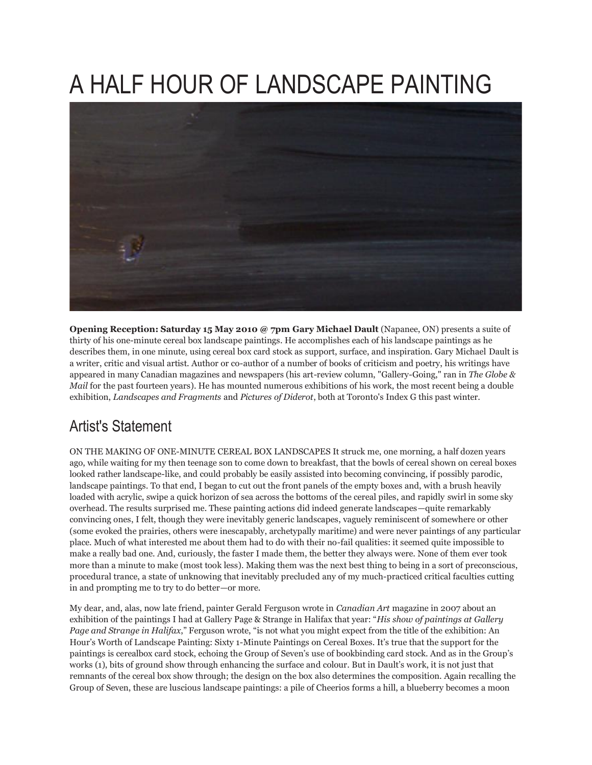## A HALF HOUR OF LANDSCAPE PAINTING



**Opening Reception: Saturday 15 May 2010 @ 7pm Gary Michael Dault** (Napanee, ON) presents a suite of thirty of his one-minute cereal box landscape paintings. He accomplishes each of his landscape paintings as he describes them, in one minute, using cereal box card stock as support, surface, and inspiration. Gary Michael Dault is a writer, critic and visual artist. Author or co-author of a number of books of criticism and poetry, his writings have appeared in many Canadian magazines and newspapers (his art-review column, "Gallery-Going," ran in *The Globe & Mail* for the past fourteen years). He has mounted numerous exhibitions of his work, the most recent being a double exhibition, *Landscapes and Fragments* and *Pictures of Diderot*, both at Toronto's Index G this past winter.

## Artist's Statement

ON THE MAKING OF ONE-MINUTE CEREAL BOX LANDSCAPES It struck me, one morning, a half dozen years ago, while waiting for my then teenage son to come down to breakfast, that the bowls of cereal shown on cereal boxes looked rather landscape-like, and could probably be easily assisted into becoming convincing, if possibly parodic, landscape paintings. To that end, I began to cut out the front panels of the empty boxes and, with a brush heavily loaded with acrylic, swipe a quick horizon of sea across the bottoms of the cereal piles, and rapidly swirl in some sky overhead. The results surprised me. These painting actions did indeed generate landscapes—quite remarkably convincing ones, I felt, though they were inevitably generic landscapes, vaguely reminiscent of somewhere or other (some evoked the prairies, others were inescapably, archetypally maritime) and were never paintings of any particular place. Much of what interested me about them had to do with their no-fail qualities: it seemed quite impossible to make a really bad one. And, curiously, the faster I made them, the better they always were. None of them ever took more than a minute to make (most took less). Making them was the next best thing to being in a sort of preconscious, procedural trance, a state of unknowing that inevitably precluded any of my much-practiced critical faculties cutting in and prompting me to try to do better—or more.

My dear, and, alas, now late friend, painter Gerald Ferguson wrote in *Canadian Art* magazine in 2007 about an exhibition of the paintings I had at Gallery Page & Strange in Halifax that year: "*His show of paintings at Gallery Page and Strange in Halifax*," Ferguson wrote, "is not what you might expect from the title of the exhibition: An Hour's Worth of Landscape Painting: Sixty 1-Minute Paintings on Cereal Boxes. It's true that the support for the paintings is cerealbox card stock, echoing the Group of Seven's use of bookbinding card stock. And as in the Group's works (1), bits of ground show through enhancing the surface and colour. But in Dault's work, it is not just that remnants of the cereal box show through; the design on the box also determines the composition. Again recalling the Group of Seven, these are luscious landscape paintings: a pile of Cheerios forms a hill, a blueberry becomes a moon